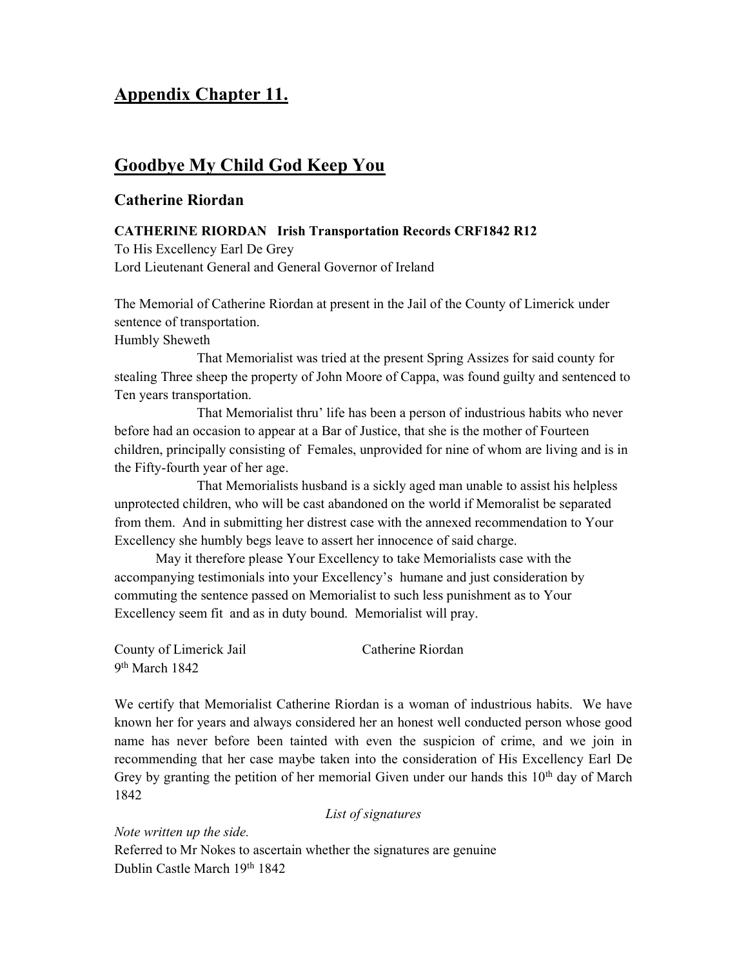# Appendix Chapter 11.

## Goodbye My Child God Keep You

## Catherine Riordan

### CATHERINE RIORDAN Irish Transportation Records CRF1842 R12

To His Excellency Earl De Grey Lord Lieutenant General and General Governor of Ireland

The Memorial of Catherine Riordan at present in the Jail of the County of Limerick under sentence of transportation.

Humbly Sheweth

 That Memorialist was tried at the present Spring Assizes for said county for stealing Three sheep the property of John Moore of Cappa, was found guilty and sentenced to Ten years transportation.

 That Memorialist thru' life has been a person of industrious habits who never before had an occasion to appear at a Bar of Justice, that she is the mother of Fourteen children, principally consisting of Females, unprovided for nine of whom are living and is in the Fifty-fourth year of her age.

 That Memorialists husband is a sickly aged man unable to assist his helpless unprotected children, who will be cast abandoned on the world if Memoralist be separated from them. And in submitting her distrest case with the annexed recommendation to Your Excellency she humbly begs leave to assert her innocence of said charge.

 May it therefore please Your Excellency to take Memorialists case with the accompanying testimonials into your Excellency's humane and just consideration by commuting the sentence passed on Memorialist to such less punishment as to Your Excellency seem fit and as in duty bound. Memorialist will pray.

County of Limerick Jail Catherine Riordan 9<sup>th</sup> March 1842

We certify that Memorialist Catherine Riordan is a woman of industrious habits. We have known her for years and always considered her an honest well conducted person whose good name has never before been tainted with even the suspicion of crime, and we join in recommending that her case maybe taken into the consideration of His Excellency Earl De Grey by granting the petition of her memorial Given under our hands this  $10<sup>th</sup>$  day of March 1842

List of signatures

Note written up the side. Referred to Mr Nokes to ascertain whether the signatures are genuine Dublin Castle March 19th 1842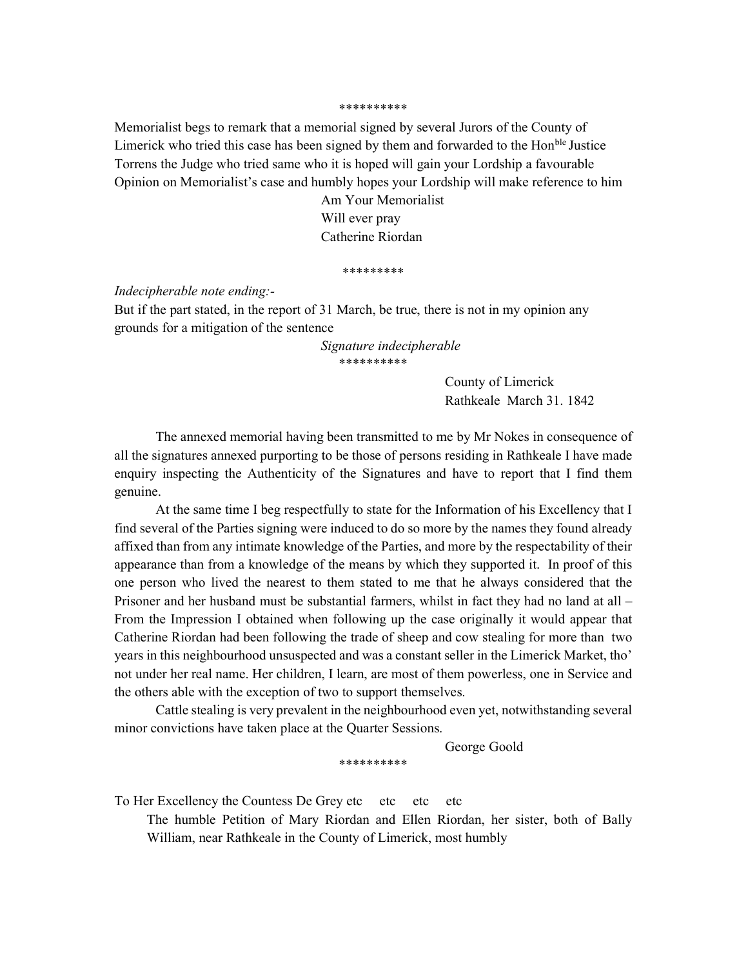#### \*\*\*\*\*\*\*\*\*\*

Memorialist begs to remark that a memorial signed by several Jurors of the County of Limerick who tried this case has been signed by them and forwarded to the Hon<sup>ble</sup> Justice Torrens the Judge who tried same who it is hoped will gain your Lordship a favourable Opinion on Memorialist's case and humbly hopes your Lordship will make reference to him

> Am Your Memorialist Will ever pray Catherine Riordan

#### \*\*\*\*\*\*\*\*\*

Indecipherable note ending:-

But if the part stated, in the report of 31 March, be true, there is not in my opinion any grounds for a mitigation of the sentence

> Signature indecipherable \*\*\*\*\*\*\*\*\*\*

> > County of Limerick Rathkeale March 31. 1842

The annexed memorial having been transmitted to me by Mr Nokes in consequence of all the signatures annexed purporting to be those of persons residing in Rathkeale I have made enquiry inspecting the Authenticity of the Signatures and have to report that I find them genuine.

At the same time I beg respectfully to state for the Information of his Excellency that I find several of the Parties signing were induced to do so more by the names they found already affixed than from any intimate knowledge of the Parties, and more by the respectability of their appearance than from a knowledge of the means by which they supported it. In proof of this one person who lived the nearest to them stated to me that he always considered that the Prisoner and her husband must be substantial farmers, whilst in fact they had no land at all – From the Impression I obtained when following up the case originally it would appear that Catherine Riordan had been following the trade of sheep and cow stealing for more than two years in this neighbourhood unsuspected and was a constant seller in the Limerick Market, tho' not under her real name. Her children, I learn, are most of them powerless, one in Service and the others able with the exception of two to support themselves.

Cattle stealing is very prevalent in the neighbourhood even yet, notwithstanding several minor convictions have taken place at the Quarter Sessions.

George Goold

\*\*\*\*\*\*\*\*\*\*

To Her Excellency the Countess De Grey etc etc etc etc

The humble Petition of Mary Riordan and Ellen Riordan, her sister, both of Bally William, near Rathkeale in the County of Limerick, most humbly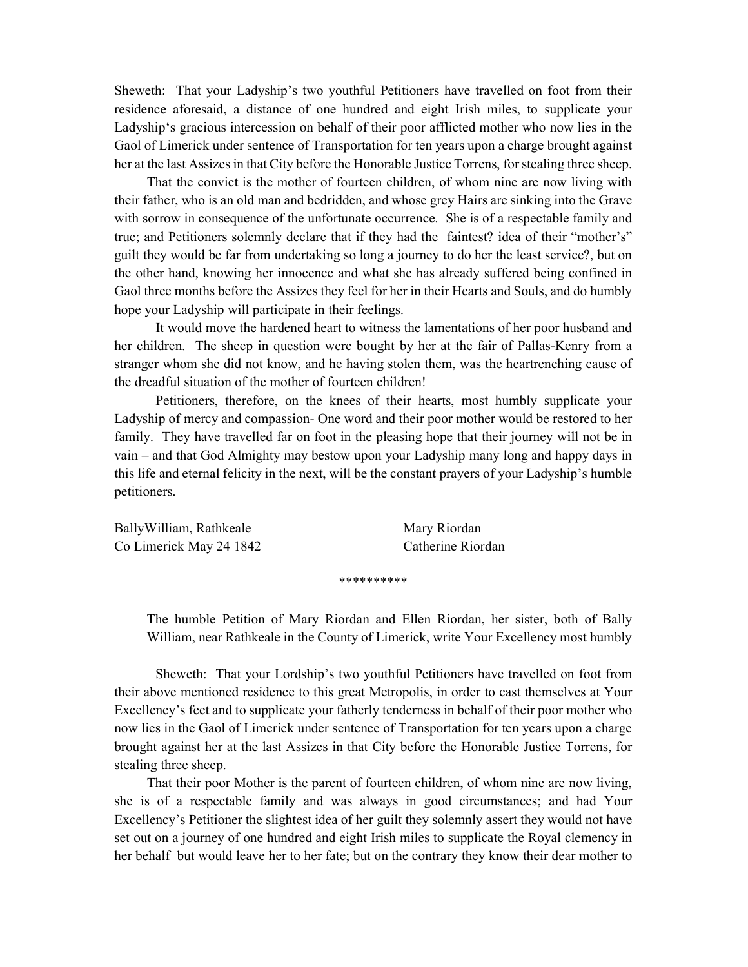Sheweth: That your Ladyship's two youthful Petitioners have travelled on foot from their residence aforesaid, a distance of one hundred and eight Irish miles, to supplicate your Ladyship's gracious intercession on behalf of their poor afflicted mother who now lies in the Gaol of Limerick under sentence of Transportation for ten years upon a charge brought against her at the last Assizes in that City before the Honorable Justice Torrens, for stealing three sheep.

 That the convict is the mother of fourteen children, of whom nine are now living with their father, who is an old man and bedridden, and whose grey Hairs are sinking into the Grave with sorrow in consequence of the unfortunate occurrence. She is of a respectable family and true; and Petitioners solemnly declare that if they had the faintest? idea of their "mother's" guilt they would be far from undertaking so long a journey to do her the least service?, but on the other hand, knowing her innocence and what she has already suffered being confined in Gaol three months before the Assizes they feel for her in their Hearts and Souls, and do humbly hope your Ladyship will participate in their feelings.

It would move the hardened heart to witness the lamentations of her poor husband and her children. The sheep in question were bought by her at the fair of Pallas-Kenry from a stranger whom she did not know, and he having stolen them, was the heartrenching cause of the dreadful situation of the mother of fourteen children!

 Petitioners, therefore, on the knees of their hearts, most humbly supplicate your Ladyship of mercy and compassion- One word and their poor mother would be restored to her family. They have travelled far on foot in the pleasing hope that their journey will not be in vain – and that God Almighty may bestow upon your Ladyship many long and happy days in this life and eternal felicity in the next, will be the constant prayers of your Ladyship's humble petitioners.

| BallyWilliam, Rathkeale | Mary Riordan      |
|-------------------------|-------------------|
| Co Limerick May 24 1842 | Catherine Riordan |

\*\*\*\*\*\*\*\*\*\*

The humble Petition of Mary Riordan and Ellen Riordan, her sister, both of Bally William, near Rathkeale in the County of Limerick, write Your Excellency most humbly

 Sheweth: That your Lordship's two youthful Petitioners have travelled on foot from their above mentioned residence to this great Metropolis, in order to cast themselves at Your Excellency's feet and to supplicate your fatherly tenderness in behalf of their poor mother who now lies in the Gaol of Limerick under sentence of Transportation for ten years upon a charge brought against her at the last Assizes in that City before the Honorable Justice Torrens, for stealing three sheep.

 That their poor Mother is the parent of fourteen children, of whom nine are now living, she is of a respectable family and was always in good circumstances; and had Your Excellency's Petitioner the slightest idea of her guilt they solemnly assert they would not have set out on a journey of one hundred and eight Irish miles to supplicate the Royal clemency in her behalf but would leave her to her fate; but on the contrary they know their dear mother to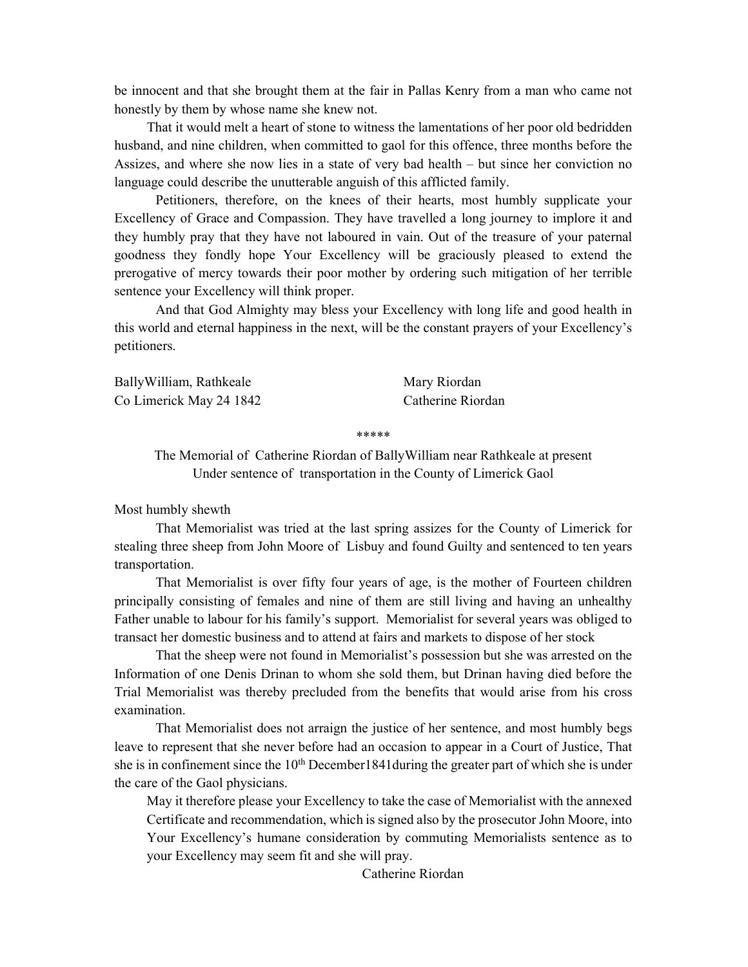be innocent and that she brought them at the fair in Pallas Kenry from a man who came not honestly by them by whose name she knew not.

 That it would melt a heart of stone to witness the lamentations of her poor old bedridden husband, and nine children, when committed to gaol for this offence, three months before the Assizes, and where she now lies in a state of very bad health – but since her conviction no language could describe the unutterable anguish of this afflicted family.

 Petitioners, therefore, on the knees of their hearts, most humbly supplicate your Excellency of Grace and Compassion. They have travelled a long journey to implore it and they humbly pray that they have not laboured in vain. Out of the treasure of your paternal goodness they fondly hope Your Excellency will be graciously pleased to extend the prerogative of mercy towards their poor mother by ordering such mitigation of her terrible sentence your Excellency will think proper.

 And that God Almighty may bless your Excellency with long life and good health in this world and eternal happiness in the next, will be the constant prayers of your Excellency's petitioners.

BallyWilliam, Rathkeale Mary Riordan Co Limerick May 24 1842 Catherine Riordan

\*\*\*\*\*

The Memorial of Catherine Riordan of BallyWilliam near Rathkeale at present Under sentence of transportation in the County of Limerick Gaol

Most humbly shewth

 That Memorialist was tried at the last spring assizes for the County of Limerick for stealing three sheep from John Moore of Lisbuy and found Guilty and sentenced to ten years transportation.

 That Memorialist is over fifty four years of age, is the mother of Fourteen children principally consisting of females and nine of them are still living and having an unhealthy Father unable to labour for his family's support. Memorialist for several years was obliged to transact her domestic business and to attend at fairs and markets to dispose of her stock

 That the sheep were not found in Memorialist's possession but she was arrested on the Information of one Denis Drinan to whom she sold them, but Drinan having died before the Trial Memorialist was thereby precluded from the benefits that would arise from his cross examination.

 That Memorialist does not arraign the justice of her sentence, and most humbly begs leave to represent that she never before had an occasion to appear in a Court of Justice, That she is in confinement since the  $10<sup>th</sup>$  December 1841 during the greater part of which she is under the care of the Gaol physicians.

May it therefore please your Excellency to take the case of Memorialist with the annexed Certificate and recommendation, which is signed also by the prosecutor John Moore, into Your Excellency's humane consideration by commuting Memorialists sentence as to your Excellency may seem fit and she will pray.

Catherine Riordan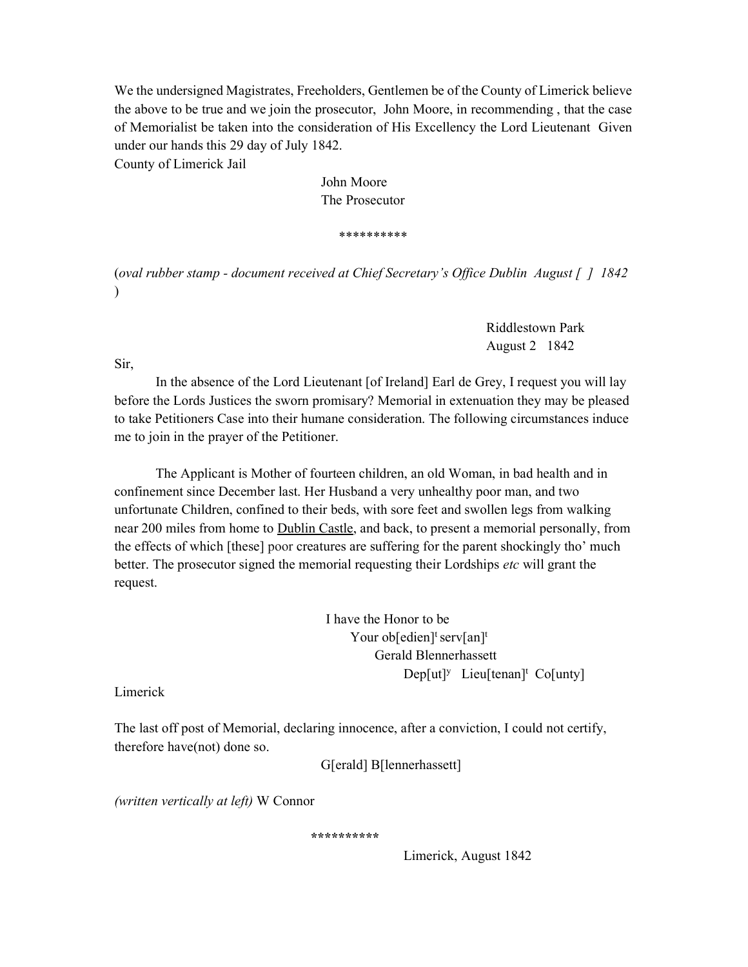We the undersigned Magistrates, Freeholders, Gentlemen be of the County of Limerick believe the above to be true and we join the prosecutor, John Moore, in recommending , that the case of Memorialist be taken into the consideration of His Excellency the Lord Lieutenant Given under our hands this 29 day of July 1842.

County of Limerick Jail

 John Moore The Prosecutor

\*\*\*\*\*\*\*\*\*\*

(oval rubber stamp - document received at Chief Secretary's Office Dublin August [ ] 1842 )

> Riddlestown Park August 2 1842

Sir,

In the absence of the Lord Lieutenant [of Ireland] Earl de Grey, I request you will lay before the Lords Justices the sworn promisary? Memorial in extenuation they may be pleased to take Petitioners Case into their humane consideration. The following circumstances induce me to join in the prayer of the Petitioner.

The Applicant is Mother of fourteen children, an old Woman, in bad health and in confinement since December last. Her Husband a very unhealthy poor man, and two unfortunate Children, confined to their beds, with sore feet and swollen legs from walking near 200 miles from home to Dublin Castle, and back, to present a memorial personally, from the effects of which [these] poor creatures are suffering for the parent shockingly tho' much better. The prosecutor signed the memorial requesting their Lordships etc will grant the request.

 I have the Honor to be Your ob[edien]<sup>t</sup> serv[an]<sup>t</sup> Gerald Blennerhassett  $Dep[ut]^y$  Lieu $[tenan]^t$  Co $[unt]$ 

Limerick

The last off post of Memorial, declaring innocence, after a conviction, I could not certify, therefore have(not) done so.

G[erald] B[lennerhassett]

(written vertically at left) W Connor

\*\*\*\*\*\*\*\*\*\*

Limerick, August 1842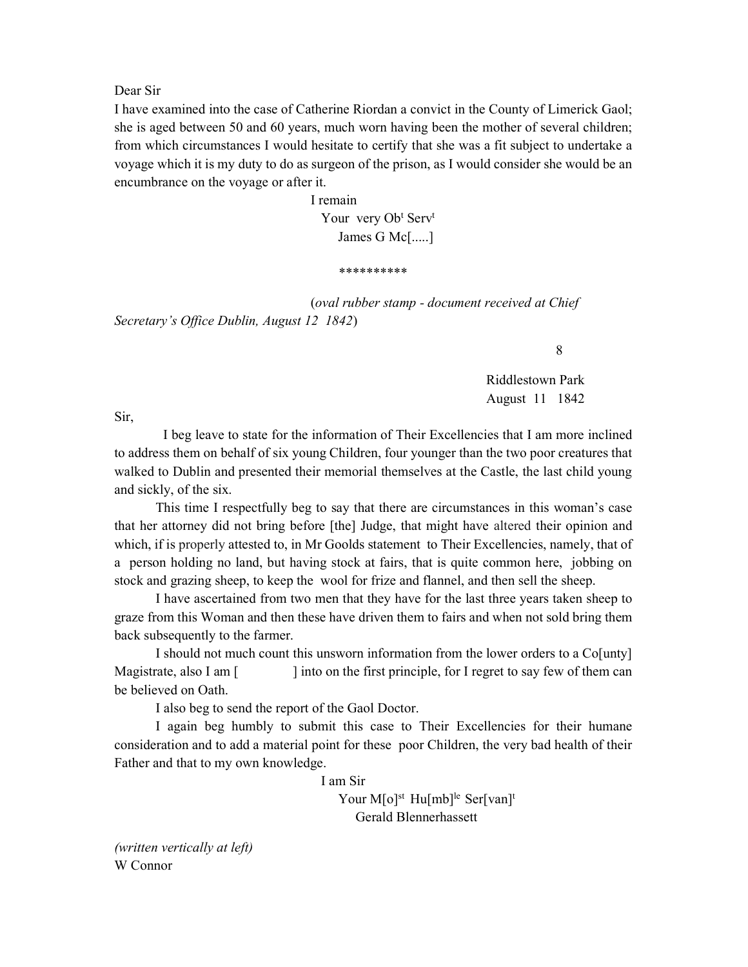Dear Sir

I have examined into the case of Catherine Riordan a convict in the County of Limerick Gaol; she is aged between 50 and 60 years, much worn having been the mother of several children; from which circumstances I would hesitate to certify that she was a fit subject to undertake a voyage which it is my duty to do as surgeon of the prison, as I would consider she would be an encumbrance on the voyage or after it.

 I remain Your very Ob<sup>t</sup> Serv<sup>t</sup> James G Mc[.....]

\*\*\*\*\*\*\*\*\*\*

 (oval rubber stamp - document received at Chief Secretary's Office Dublin, August 12 1842)

8

 Riddlestown Park August 11 1842

Sir,

 I beg leave to state for the information of Their Excellencies that I am more inclined to address them on behalf of six young Children, four younger than the two poor creatures that walked to Dublin and presented their memorial themselves at the Castle, the last child young and sickly, of the six.

 This time I respectfully beg to say that there are circumstances in this woman's case that her attorney did not bring before [the] Judge, that might have altered their opinion and which, if is properly attested to, in Mr Goolds statement to Their Excellencies, namely, that of a person holding no land, but having stock at fairs, that is quite common here, jobbing on stock and grazing sheep, to keep the wool for frize and flannel, and then sell the sheep.

I have ascertained from two men that they have for the last three years taken sheep to graze from this Woman and then these have driven them to fairs and when not sold bring them back subsequently to the farmer.

I should not much count this unsworn information from the lower orders to a Co[unty] Magistrate, also I am [ ] into on the first principle, for I regret to say few of them can be believed on Oath.

I also beg to send the report of the Gaol Doctor.

 I again beg humbly to submit this case to Their Excellencies for their humane consideration and to add a material point for these poor Children, the very bad health of their Father and that to my own knowledge.

I am Sir

Your  $M[\circ]^{st}$  Hu $[mb]^{le}$  Ser[van]<sup>t</sup> Gerald Blennerhassett

(written vertically at left) W Connor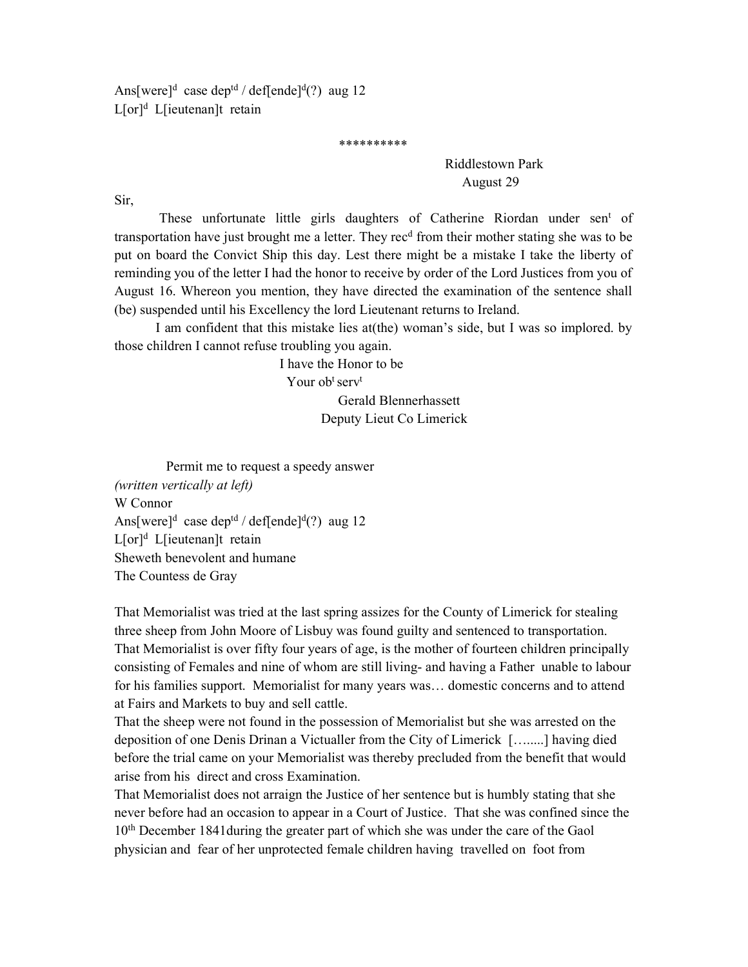Ans[were]<sup>d</sup> case dep<sup>td</sup> / def[ende]<sup>d</sup>(?) aug 12 L[or]<sup>d</sup> L[ieutenan]t retain

\*\*\*\*\*\*\*\*\*\*

 Riddlestown Park August 29

Sir,

These unfortunate little girls daughters of Catherine Riordan under sen<sup>t</sup> of transportation have just brought me a letter. They rec<sup>d</sup> from their mother stating she was to be put on board the Convict Ship this day. Lest there might be a mistake I take the liberty of reminding you of the letter I had the honor to receive by order of the Lord Justices from you of August 16. Whereon you mention, they have directed the examination of the sentence shall (be) suspended until his Excellency the lord Lieutenant returns to Ireland.

I am confident that this mistake lies at(the) woman's side, but I was so implored. by those children I cannot refuse troubling you again.

> I have the Honor to be Your ob<sup>t</sup> serv<sup>t</sup> Gerald Blennerhassett Deputy Lieut Co Limerick

 Permit me to request a speedy answer (written vertically at left) W Connor Ans[were]<sup>d</sup> case dep<sup>td</sup> / def[ende]<sup>d</sup>(?) aug 12 L[or]<sup>d</sup> L[ieutenan]t retain Sheweth benevolent and humane The Countess de Gray

That Memorialist was tried at the last spring assizes for the County of Limerick for stealing three sheep from John Moore of Lisbuy was found guilty and sentenced to transportation. That Memorialist is over fifty four years of age, is the mother of fourteen children principally consisting of Females and nine of whom are still living- and having a Father unable to labour for his families support. Memorialist for many years was… domestic concerns and to attend at Fairs and Markets to buy and sell cattle.

That the sheep were not found in the possession of Memorialist but she was arrested on the deposition of one Denis Drinan a Victualler from the City of Limerick [….....] having died before the trial came on your Memorialist was thereby precluded from the benefit that would arise from his direct and cross Examination.

That Memorialist does not arraign the Justice of her sentence but is humbly stating that she never before had an occasion to appear in a Court of Justice. That she was confined since the 10th December 1841during the greater part of which she was under the care of the Gaol physician and fear of her unprotected female children having travelled on foot from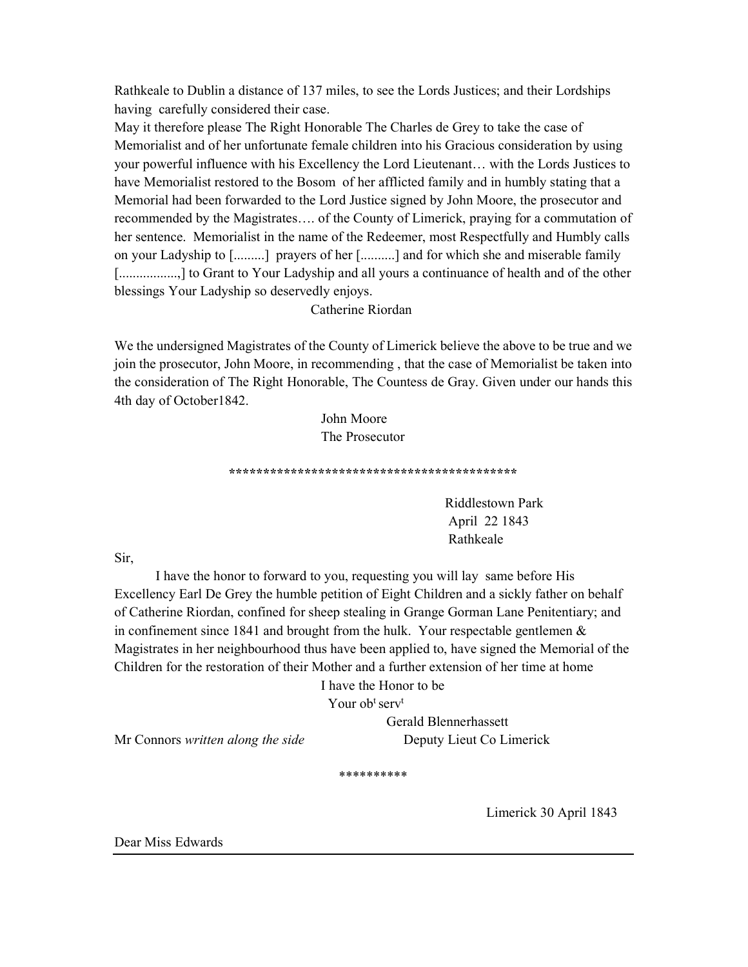Rathkeale to Dublin a distance of 137 miles, to see the Lords Justices; and their Lordships having carefully considered their case.

May it therefore please The Right Honorable The Charles de Grey to take the case of Memorialist and of her unfortunate female children into his Gracious consideration by using your powerful influence with his Excellency the Lord Lieutenant… with the Lords Justices to have Memorialist restored to the Bosom of her afflicted family and in humbly stating that a Memorial had been forwarded to the Lord Justice signed by John Moore, the prosecutor and recommended by the Magistrates…. of the County of Limerick, praying for a commutation of her sentence. Memorialist in the name of the Redeemer, most Respectfully and Humbly calls on your Ladyship to [.........] prayers of her [..........] and for which she and miserable family [..................] to Grant to Your Ladyship and all yours a continuance of health and of the other blessings Your Ladyship so deservedly enjoys.

Catherine Riordan

We the undersigned Magistrates of the County of Limerick believe the above to be true and we join the prosecutor, John Moore, in recommending , that the case of Memorialist be taken into the consideration of The Right Honorable, The Countess de Gray. Given under our hands this 4th day of October1842.

> John Moore The Prosecutor

\*\*\*\*\*\*\*\*\*\*\*\*\*\*\*\*\*\*\*\*\*\*\*\*\*\*\*\*\*\*\*\*\*\*\*\*\*\*\*\*\*\*

 Riddlestown Park April 22 1843 Rathkeale

Sir,

I have the honor to forward to you, requesting you will lay same before His Excellency Earl De Grey the humble petition of Eight Children and a sickly father on behalf of Catherine Riordan, confined for sheep stealing in Grange Gorman Lane Penitentiary; and in confinement since 1841 and brought from the hulk. Your respectable gentlemen  $\&$ Magistrates in her neighbourhood thus have been applied to, have signed the Memorial of the Children for the restoration of their Mother and a further extension of her time at home

I have the Honor to be

Your obt serv<sup>t</sup>

Gerald Blennerhassett

Mr Connors written along the side<br>Deputy Lieut Co Limerick

\*\*\*\*\*\*\*\*\*\*

Limerick 30 April 1843

Dear Miss Edwards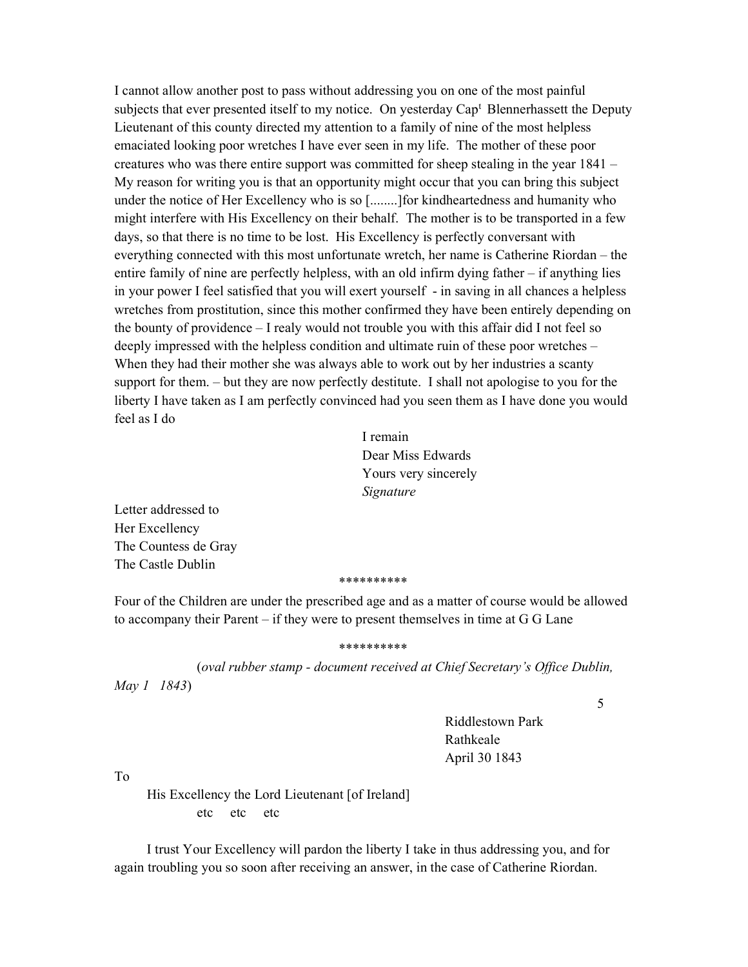I cannot allow another post to pass without addressing you on one of the most painful subjects that ever presented itself to my notice. On yesterday Cap<sup>t</sup> Blennerhassett the Deputy Lieutenant of this county directed my attention to a family of nine of the most helpless emaciated looking poor wretches I have ever seen in my life. The mother of these poor creatures who was there entire support was committed for sheep stealing in the year 1841 – My reason for writing you is that an opportunity might occur that you can bring this subject under the notice of Her Excellency who is so [........]for kindheartedness and humanity who might interfere with His Excellency on their behalf. The mother is to be transported in a few days, so that there is no time to be lost. His Excellency is perfectly conversant with everything connected with this most unfortunate wretch, her name is Catherine Riordan – the entire family of nine are perfectly helpless, with an old infirm dying father – if anything lies in your power I feel satisfied that you will exert yourself - in saving in all chances a helpless wretches from prostitution, since this mother confirmed they have been entirely depending on the bounty of providence – I realy would not trouble you with this affair did I not feel so deeply impressed with the helpless condition and ultimate ruin of these poor wretches – When they had their mother she was always able to work out by her industries a scanty support for them. – but they are now perfectly destitute. I shall not apologise to you for the liberty I have taken as I am perfectly convinced had you seen them as I have done you would feel as I do

> I remain Dear Miss Edwards Yours very sincerely Signature

Letter addressed to Her Excellency The Countess de Gray The Castle Dublin

#### \*\*\*\*\*\*\*\*\*\*

Four of the Children are under the prescribed age and as a matter of course would be allowed to accompany their Parent – if they were to present themselves in time at G G Lane

### \*\*\*\*\*\*\*\*\*\*

 (oval rubber stamp - document received at Chief Secretary's Office Dublin, May 1 1843)

5

 Riddlestown Park Rathkeale April 30 1843

To

 His Excellency the Lord Lieutenant [of Ireland] etc etc etc

I trust Your Excellency will pardon the liberty I take in thus addressing you, and for again troubling you so soon after receiving an answer, in the case of Catherine Riordan.